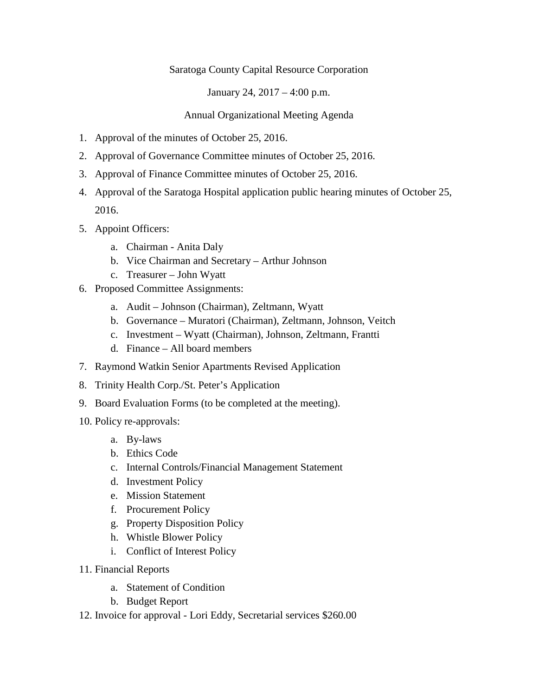## Saratoga County Capital Resource Corporation

January 24, 2017 – 4:00 p.m.

## Annual Organizational Meeting Agenda

- 1. Approval of the minutes of October 25, 2016.
- 2. Approval of Governance Committee minutes of October 25, 2016.
- 3. Approval of Finance Committee minutes of October 25, 2016.
- 4. Approval of the Saratoga Hospital application public hearing minutes of October 25, 2016.
- 5. Appoint Officers:
	- a. Chairman Anita Daly
	- b. Vice Chairman and Secretary Arthur Johnson
	- c. Treasurer John Wyatt
- 6. Proposed Committee Assignments:
	- a. Audit Johnson (Chairman), Zeltmann, Wyatt
	- b. Governance Muratori (Chairman), Zeltmann, Johnson, Veitch
	- c. Investment Wyatt (Chairman), Johnson, Zeltmann, Frantti
	- d. Finance All board members
- 7. Raymond Watkin Senior Apartments Revised Application
- 8. Trinity Health Corp./St. Peter's Application
- 9. Board Evaluation Forms (to be completed at the meeting).
- 10. Policy re-approvals:
	- a. By-laws
	- b. Ethics Code
	- c. Internal Controls/Financial Management Statement
	- d. Investment Policy
	- e. Mission Statement
	- f. Procurement Policy
	- g. Property Disposition Policy
	- h. Whistle Blower Policy
	- i. Conflict of Interest Policy
- 11. Financial Reports
	- a. Statement of Condition
	- b. Budget Report
- 12. Invoice for approval Lori Eddy, Secretarial services \$260.00